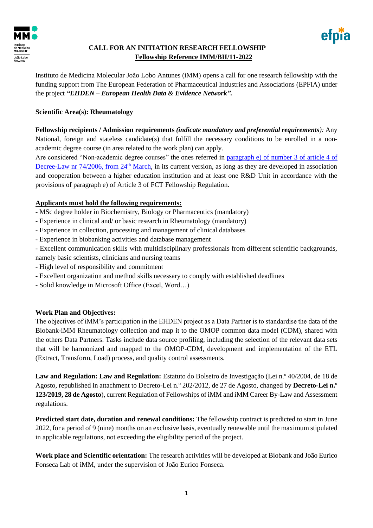

## **CALL FOR AN INITIATION RESEARCH FELLOWSHIP Fellowship Reference IMM/BII/11-2022**



Instituto de Medicina Molecular João Lobo Antunes (iMM) opens a call for one research fellowship with the funding support from The European Federation of Pharmaceutical Industries and Associations (EPFIA) under the project *"EHDEN – European Health Data & Evidence Network".*

## **Scientific Area(s): Rheumatology**

**Fellowship recipients / Admission requirements** *(indicate mandatory and preferential requirements):* Any National, foreign and stateless candidate(s) that fulfill the necessary conditions to be enrolled in a nonacademic degree course (in area related to the work plan) can apply.

Are considered "Non-academic degree courses" the ones referred in paragraph e) [of number 3 of article 4 of](https://dre.pt/web/guest/legislacao-consolidada/-/lc/122033591/202004021256/73697372/diploma/indice?q=Decreto-Lei+n.%C2%BA74%2F2006)  [Decree-Law nr 74/2006, from 24](https://dre.pt/web/guest/legislacao-consolidada/-/lc/122033591/202004021256/73697372/diploma/indice?q=Decreto-Lei+n.%C2%BA74%2F2006)<sup>th</sup> March, in its current version, as long as they are developed in association and cooperation between a higher education institution and at least one R&D Unit in accordance with the provisions of paragraph e) of Article 3 of FCT Fellowship Regulation.

## **Applicants must hold the following requirements:**

- MSc degree holder in Biochemistry, Biology or Pharmaceutics (mandatory)
- Experience in clinical and/ or basic research in Rheumatology (mandatory)
- Experience in collection, processing and management of clinical databases
- Experience in biobanking activities and database management
- Excellent communication skills with multidisciplinary professionals from different scientific backgrounds, namely basic scientists, clinicians and nursing teams
- High level of responsibility and commitment
- Excellent organization and method skills necessary to comply with established deadlines
- Solid knowledge in Microsoft Office (Excel, Word…)

## **Work Plan and Objectives:**

The objectives of iMM's participation in the EHDEN project as a Data Partner is to standardise the data of the Biobank-iMM Rheumatology collection and map it to the OMOP common data model (CDM), shared with the others Data Partners. Tasks include data source profiling, including the selection of the relevant data sets that will be harmonized and mapped to the OMOP-CDM, development and implementation of the ETL (Extract, Transform, Load) process, and quality control assessments.

**Law and Regulation: Law and Regulation:** Estatuto do Bolseiro de Investigação (Lei n.º 40/2004, de 18 de Agosto, republished in attachment to Decreto-Lei n.º 202/2012, de 27 de Agosto, changed by **Decreto-Lei n.º 123/2019, 28 de Agosto**), current Regulation of Fellowships of iMM and iMM Career By-Law and Assessment regulations.

**Predicted start date, duration and renewal conditions:** The fellowship contract is predicted to start in June 2022, for a period of 9 (nine) months on an exclusive basis, eventually renewable until the maximum stipulated in applicable regulations, not exceeding the eligibility period of the project.

**Work place and Scientific orientation:** The research activities will be developed at Biobank and João Eurico Fonseca Lab of iMM, under the supervision of João Eurico Fonseca.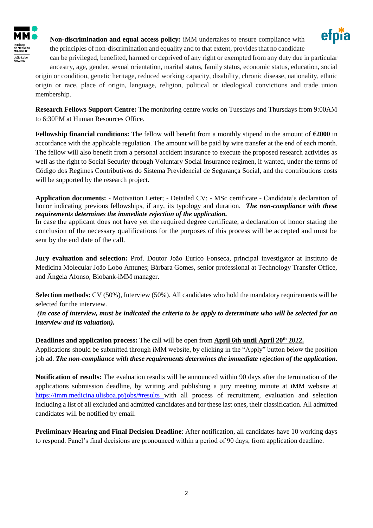

**Non-discrimination and equal access policy***:* iMM undertakes to ensure compliance with the principles of non-discrimination and equality and to that extent, provides that no candidate



can be privileged, benefited, harmed or deprived of any right or exempted from any duty due in particular ancestry, age, gender, sexual orientation, marital status, family status, economic status, education, social origin or condition, genetic heritage, reduced working capacity, disability, chronic disease, nationality, ethnic origin or race, place of origin, language, religion, political or ideological convictions and trade union membership.

**Research Fellows Support Centre:** The monitoring centre works on Tuesdays and Thursdays from 9:00AM to 6:30PM at Human Resources Office.

**Fellowship financial conditions:** The fellow will benefit from a monthly stipend in the amount of **€2000** in accordance with the applicable regulation. The amount will be paid by wire transfer at the end of each month. The fellow will also benefit from a personal accident insurance to execute the proposed research activities as well as the right to Social Security through Voluntary Social Insurance regimen, if wanted, under the terms of Código dos Regimes Contributivos do Sistema Previdencial de Segurança Social, and the contributions costs will be supported by the research project.

**Application documents:** - Motivation Letter; - Detailed CV; - MSc certificate - Candidate's declaration of honor indicating previous fellowships, if any, its typology and duration. *The non-compliance with these requirements determines the immediate rejection of the application.*

In case the applicant does not have yet the required degree certificate, a declaration of honor stating the conclusion of the necessary qualifications for the purposes of this process will be accepted and must be sent by the end date of the call.

**Jury evaluation and selection:** Prof. Doutor João Eurico Fonseca, principal investigator at Instituto de Medicina Molecular João Lobo Antunes; Bárbara Gomes, senior professional at Technology Transfer Office, and Ângela Afonso, Biobank-iMM manager.

**Selection methods:** CV (50%), Interview (50%). All candidates who hold the mandatory requirements will be selected for the interview.

*(In case of interview, must be indicated the criteria to be apply to determinate who will be selected for an interview and its valuation).* 

**Deadlines and application process:** The call will be open from **April 6th until April 20th 2022.**  Applications should be submitted through iMM website, by clicking in the "Apply" button below the position job ad. *The non-compliance with these requirements determines the immediate rejection of the application.*

**Notification of results:** The evaluation results will be announced within 90 days after the termination of the applications submission deadline, by writing and publishing a jury meeting minute at iMM website at <https://imm.medicina.ulisboa.pt/jobs/#results> with all process of recruitment, evaluation and selection including a list of all excluded and admitted candidates and for these last ones, their classification. All admitted candidates will be notified by email.

**Preliminary Hearing and Final Decision Deadline**: After notification, all candidates have 10 working days to respond. Panel's final decisions are pronounced within a period of 90 days, from application deadline.